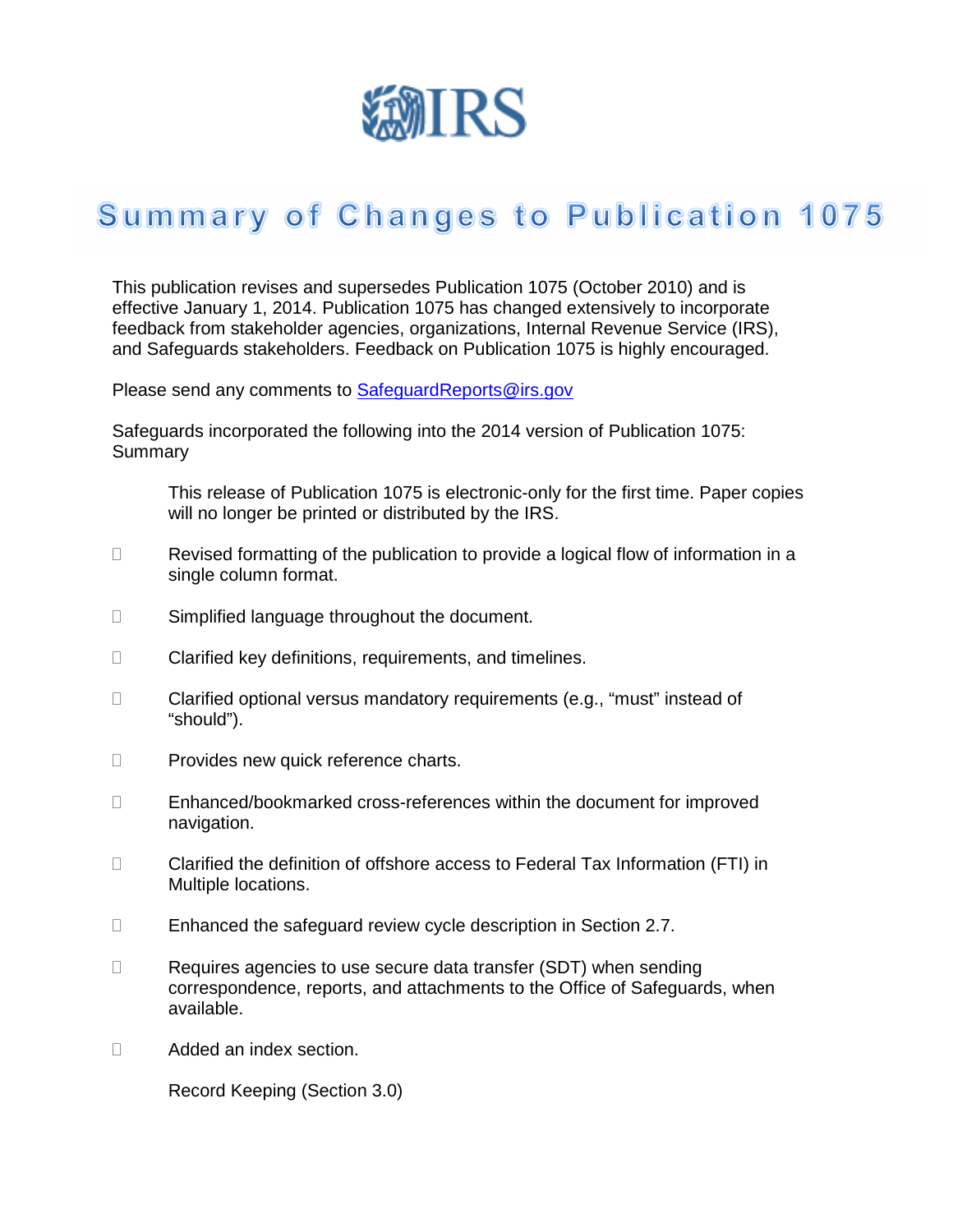

## Summary of Changes to Publication 1075

This publication revises and supersedes Publication 1075 (October 2010) and is effective January 1, 2014. Publication 1075 has changed extensively to incorporate feedback from stakeholder agencies, organizations, Internal Revenue Service (IRS), and Safeguards stakeholders. Feedback on Publication 1075 is highly encouraged.

Please send any comments to **SafeguardReports@irs.gov** 

Safeguards incorporated the following into the 2014 version of Publication 1075: **Summary** 

 This release of Publication 1075 is electronic-only for the first time. Paper copies will no longer be printed or distributed by the IRS.

 Revised formatting of the publication to provide a logical flow of information in a single column format.

Simplified language throughout the document.

Clarified key definitions, requirements, and timelines.

 Clarified optional versus mandatory requirements (e.g., "must" instead of "should").

Provides new quick reference charts.

 Enhanced/bookmarked cross-references within the document for improved navigation.

 Clarified the definition of offshore access to Federal Tax Information (FTI) in Multiple locations.

Enhanced the safeguard review cycle description in Section 2.7.

 Requires agencies to use secure data transfer (SDT) when sending correspondence, reports, and attachments to the Office of Safeguards, when available.

Added an index section.

Record Keeping (Section 3.0)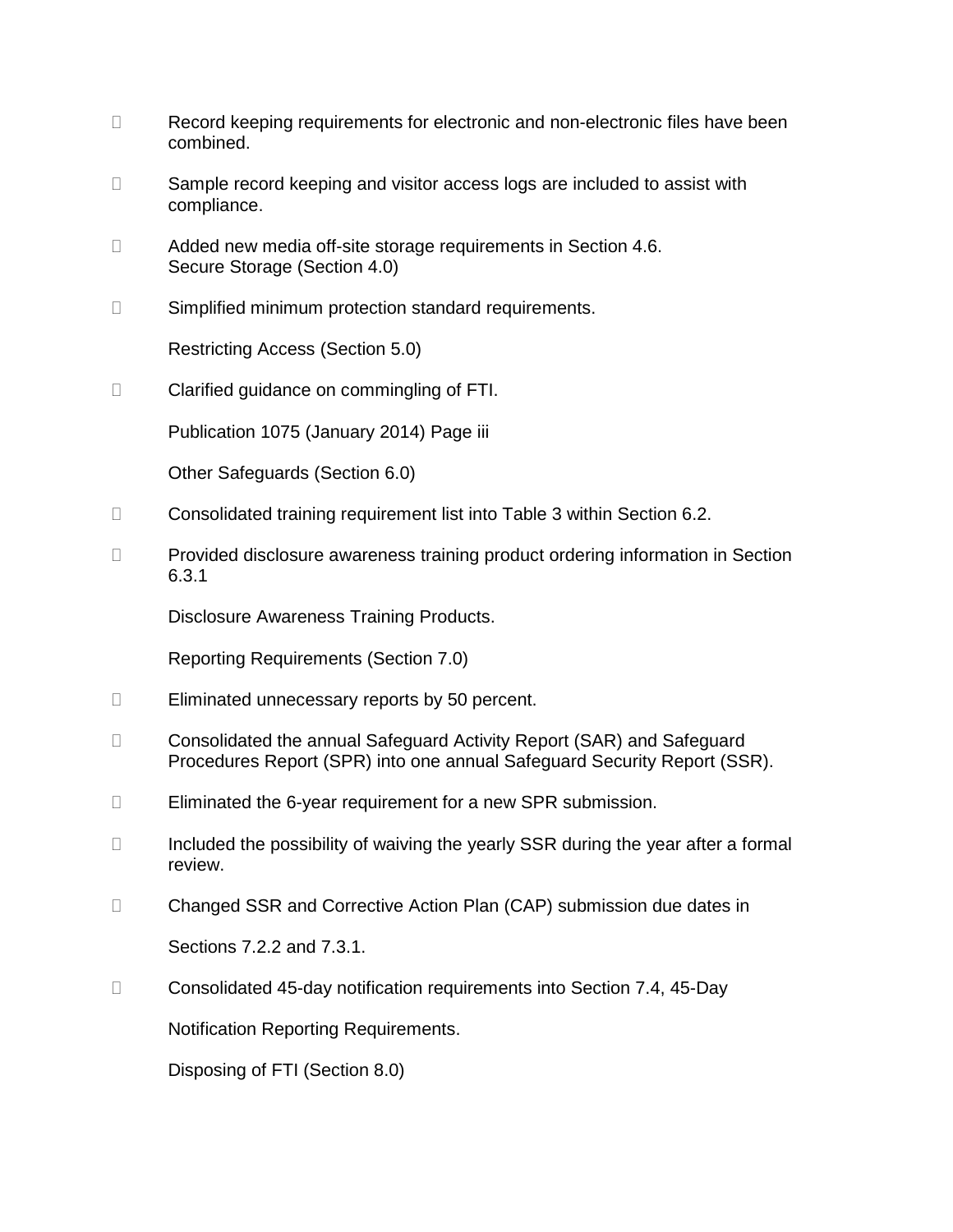Record keeping requirements for electronic and non-electronic files have been combined.

 Sample record keeping and visitor access logs are included to assist with compliance.

 Added new media off-site storage requirements in Section 4.6. Secure Storage (Section 4.0)

Simplified minimum protection standard requirements.

Restricting Access (Section 5.0)

Clarified guidance on commingling of FTI.

Publication 1075 (January 2014) Page iii

Other Safeguards (Section 6.0)

Consolidated training requirement list into Table 3 within Section 6.2.

 Provided disclosure awareness training product ordering information in Section 6.3.1

Disclosure Awareness Training Products.

Reporting Requirements (Section 7.0)

Eliminated unnecessary reports by 50 percent.

 Consolidated the annual Safeguard Activity Report (SAR) and Safeguard Procedures Report (SPR) into one annual Safeguard Security Report (SSR).

Eliminated the 6-year requirement for a new SPR submission.

 Included the possibility of waiving the yearly SSR during the year after a formal review.

Changed SSR and Corrective Action Plan (CAP) submission due dates in

Sections 7.2.2 and 7.3.1.

Consolidated 45-day notification requirements into Section 7.4, 45-Day

Notification Reporting Requirements.

Disposing of FTI (Section 8.0)